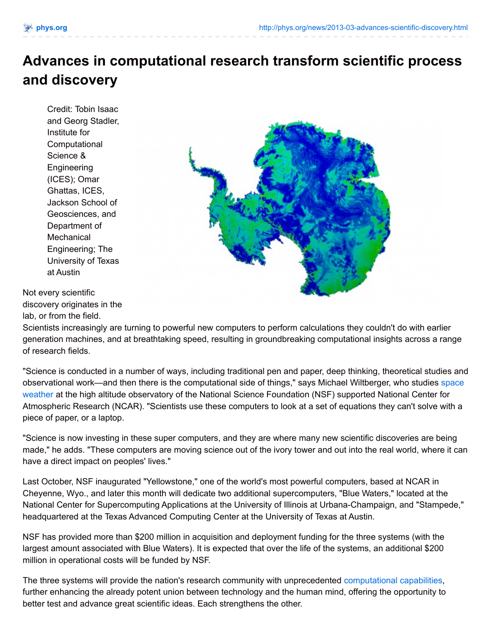## **Advances in computational research transform scientific process and discovery**

Credit: Tobin Isaac and Georg Stadler, Institute for **Computational** Science & **Engineering** (ICES); Omar Ghattas, ICES, Jackson School of Geosciences, and Department of **Mechanical** Engineering; The University of Texas at Austin



Not every scientific discovery originates in the lab, or from the field.

Scientists increasingly are turning to powerful new computers to perform calculations they couldn't do with earlier generation machines, and at breathtaking speed, resulting in groundbreaking computational insights across a range of research fields.

"Science is conducted in a number of ways, including traditional pen and paper, deep thinking, theoretical studies and observational work—and then there is the [computational](http://phys.org/tags/space+weather/) side of things," says Michael Wiltberger, who studies space weather at the high altitude observatory of the National Science Foundation (NSF) supported National Center for Atmospheric Research (NCAR). "Scientists use these computers to look at a set of equations they can't solve with a piece of paper, or a laptop.

"Science is now investing in these super computers, and they are where many new scientific discoveries are being made," he adds. "These computers are moving science out of the ivory tower and out into the real world, where it can have a direct impact on peoples' lives."

Last October, NSF inaugurated "Yellowstone," one of the world's most powerful computers, based at NCAR in Cheyenne, Wyo., and later this month will dedicate two additional supercomputers, "Blue Waters," located at the National Center for Supercomputing Applications at the University of Illinois at Urbana-Champaign, and "Stampede," headquartered at the Texas Advanced Computing Center at the University of Texas at Austin.

NSF has provided more than \$200 million in acquisition and deployment funding for the three systems (with the largest amount associated with Blue Waters). It is expected that over the life of the systems, an additional \$200 million in operational costs will be funded by NSF.

The three systems will provide the nation's research community with unprecedented [computational](http://phys.org/tags/computational+capabilities/) capabilities, further enhancing the already potent union between technology and the human mind, offering the opportunity to better test and advance great scientific ideas. Each strengthens the other.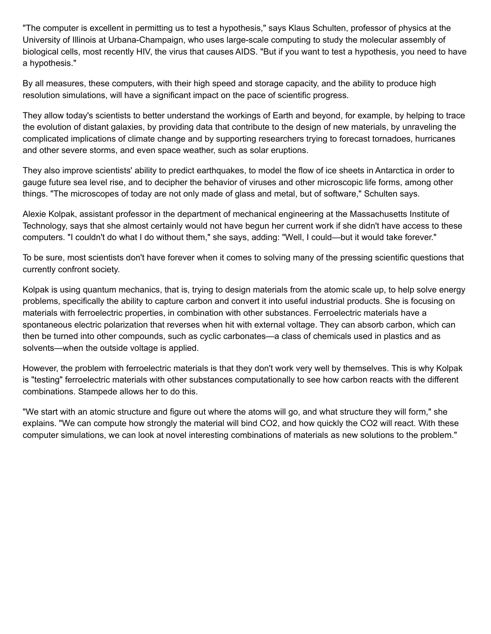"The computer is excellent in permitting us to test a hypothesis," says Klaus Schulten, professor of physics at the University of Illinois at Urbana-Champaign, who uses large-scale computing to study the molecular assembly of biological cells, most recently HIV, the virus that causes AIDS. "But if you want to test a hypothesis, you need to have a hypothesis."

By all measures, these computers, with their high speed and storage capacity, and the ability to produce high resolution simulations, will have a significant impact on the pace of scientific progress.

They allow today's scientists to better understand the workings of Earth and beyond, for example, by helping to trace the evolution of distant galaxies, by providing data that contribute to the design of new materials, by unraveling the complicated implications of climate change and by supporting researchers trying to forecast tornadoes, hurricanes and other severe storms, and even space weather, such as solar eruptions.

They also improve scientists' ability to predict earthquakes, to model the flow of ice sheets in Antarctica in order to gauge future sea level rise, and to decipher the behavior of viruses and other microscopic life forms, among other things. "The microscopes of today are not only made of glass and metal, but of software," Schulten says.

Alexie Kolpak, assistant professor in the department of mechanical engineering at the Massachusetts Institute of Technology, says that she almost certainly would not have begun her current work if she didn't have access to these computers. "I couldn't do what I do without them," she says, adding: "Well, I could—but it would take forever."

To be sure, most scientists don't have forever when it comes to solving many of the pressing scientific questions that currently confront society.

Kolpak is using quantum mechanics, that is, trying to design materials from the atomic scale up, to help solve energy problems, specifically the ability to capture carbon and convert it into useful industrial products. She is focusing on materials with ferroelectric properties, in combination with other substances. Ferroelectric materials have a spontaneous electric polarization that reverses when hit with external voltage. They can absorb carbon, which can then be turned into other compounds, such as cyclic carbonates—a class of chemicals used in plastics and as solvents—when the outside voltage is applied.

However, the problem with ferroelectric materials is that they don't work very well by themselves. This is why Kolpak is "testing" ferroelectric materials with other substances computationally to see how carbon reacts with the different combinations. Stampede allows her to do this.

"We start with an atomic structure and figure out where the atoms will go, and what structure they will form," she explains. "We can compute how strongly the material will bind CO2, and how quickly the CO2 will react. With these computer simulations, we can look at novel interesting combinations of materials as new solutions to the problem."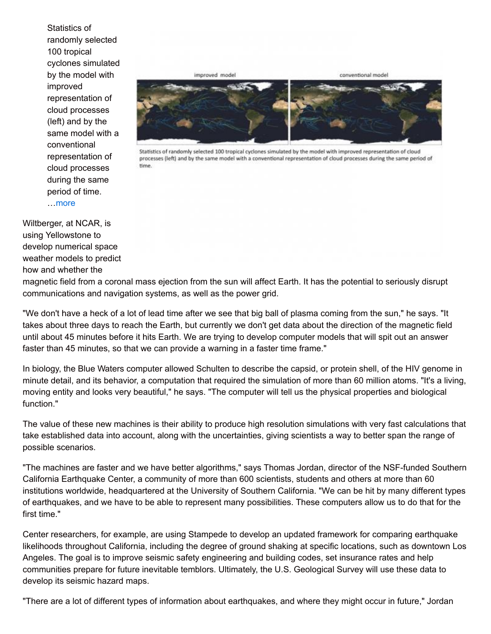Statistics of randomly selected 100 tropical cyclones simulated by the model with improved representation of cloud processes (left) and by the same model with a conventional representation of cloud processes during the same period of time. …[more](http://phys.org/news/2013-03-advances-scientific-discovery.html)



conventional model

Statistics of randomly selected 100 tropical cyclones simulated by the model with improved representation of cloud processes (left) and by the same model with a conventional representation of cloud processes during the same period of time.

Wiltberger, at NCAR, is using Yellowstone to develop numerical space weather models to predict how and whether the

magnetic field from a coronal mass ejection from the sun will affect Earth. It has the potential to seriously disrupt communications and navigation systems, as well as the power grid.

improved model

"We don't have a heck of a lot of lead time after we see that big ball of plasma coming from the sun," he says. "It takes about three days to reach the Earth, but currently we don't get data about the direction of the magnetic field until about 45 minutes before it hits Earth. We are trying to develop computer models that will spit out an answer faster than 45 minutes, so that we can provide a warning in a faster time frame."

In biology, the Blue Waters computer allowed Schulten to describe the capsid, or protein shell, of the HIV genome in minute detail, and its behavior, a computation that required the simulation of more than 60 million atoms. "It's a living, moving entity and looks very beautiful," he says. "The computer will tell us the physical properties and biological function."

The value of these new machines is their ability to produce high resolution simulations with very fast calculations that take established data into account, along with the uncertainties, giving scientists a way to better span the range of possible scenarios.

"The machines are faster and we have better algorithms," says Thomas Jordan, director of the NSF-funded Southern California Earthquake Center, a community of more than 600 scientists, students and others at more than 60 institutions worldwide, headquartered at the University of Southern California. "We can be hit by many different types of earthquakes, and we have to be able to represent many possibilities. These computers allow us to do that for the first time."

Center researchers, for example, are using Stampede to develop an updated framework for comparing earthquake likelihoods throughout California, including the degree of ground shaking at specific locations, such as downtown Los Angeles. The goal is to improve seismic safety engineering and building codes, set insurance rates and help communities prepare for future inevitable temblors. Ultimately, the U.S. Geological Survey will use these data to develop its seismic hazard maps.

"There are a lot of different types of information about earthquakes, and where they might occur in future," Jordan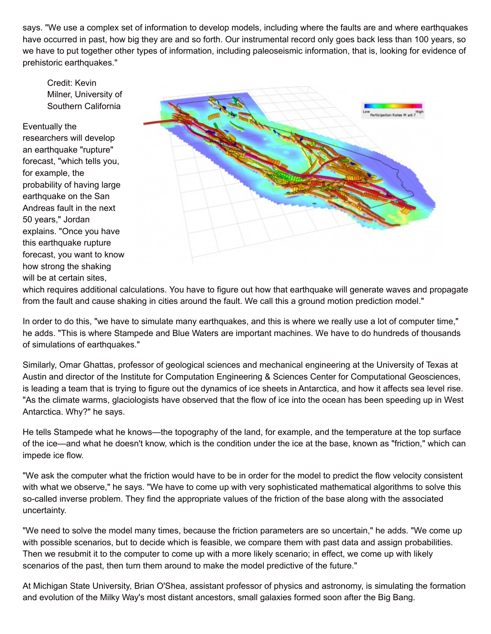says. "We use a complex set of information to develop models, including where the faults are and where earthquakes have occurred in past, how big they are and so forth. Our instrumental record only goes back less than 100 years, so we have to put together other types of information, including paleoseismic information, that is, looking for evidence of prehistoric earthquakes."

Credit: Kevin Milner, University of Southern California

Eventually the

researchers will develop an earthquake "rupture" forecast, "which tells you, for example, the probability of having large earthquake on the San Andreas fault in the next 50 years," Jordan explains. "Once you have this earthquake rupture forecast, you want to know how strong the shaking will be at certain sites,



which requires additional calculations. You have to figure out how that earthquake will generate waves and propagate from the fault and cause shaking in cities around the fault. We call this a ground motion prediction model."

In order to do this, "we have to simulate many earthquakes, and this is where we really use a lot of computer time," he adds. "This is where Stampede and Blue Waters are important machines. We have to do hundreds of thousands of simulations of earthquakes."

Similarly, Omar Ghattas, professor of geological sciences and mechanical engineering at the University of Texas at Austin and director of the Institute for Computation Engineering & Sciences Center for Computational Geosciences, is leading a team that is trying to figure out the dynamics of ice sheets in Antarctica, and how it affects sea level rise. "As the climate warms, glaciologists have observed that the flow of ice into the ocean has been speeding up in West Antarctica. Why?" he says.

He tells Stampede what he knows—the topography of the land, for example, and the temperature at the top surface of the ice—and what he doesn't know, which is the condition under the ice at the base, known as "friction," which can impede ice flow.

"We ask the computer what the friction would have to be in order for the model to predict the flow velocity consistent with what we observe," he says. "We have to come up with very sophisticated mathematical algorithms to solve this so-called inverse problem. They find the appropriate values of the friction of the base along with the associated uncertainty.

"We need to solve the model many times, because the friction parameters are so uncertain," he adds. "We come up with possible scenarios, but to decide which is feasible, we compare them with past data and assign probabilities. Then we resubmit it to the computer to come up with a more likely scenario; in effect, we come up with likely scenarios of the past, then turn them around to make the model predictive of the future."

At Michigan State University, Brian O'Shea, assistant professor of physics and astronomy, is simulating the formation and evolution of the Milky Way's most distant ancestors, small galaxies formed soon after the Big Bang.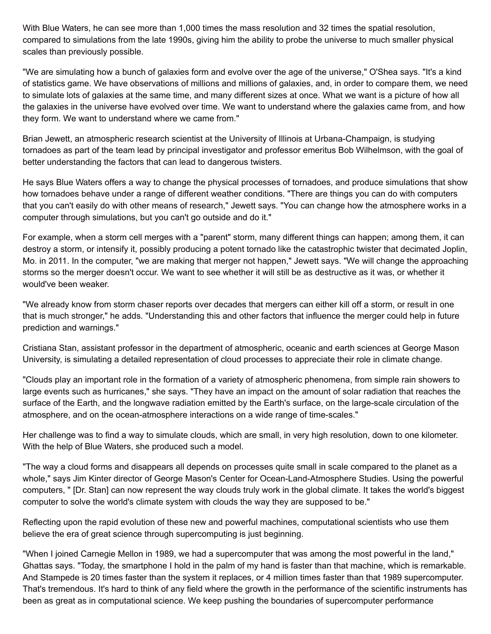With Blue Waters, he can see more than 1,000 times the mass resolution and 32 times the spatial resolution, compared to simulations from the late 1990s, giving him the ability to probe the universe to much smaller physical scales than previously possible.

"We are simulating how a bunch of galaxies form and evolve over the age of the universe," O'Shea says. "It's a kind of statistics game. We have observations of millions and millions of galaxies, and, in order to compare them, we need to simulate lots of galaxies at the same time, and many different sizes at once. What we want is a picture of how all the galaxies in the universe have evolved over time. We want to understand where the galaxies came from, and how they form. We want to understand where we came from."

Brian Jewett, an atmospheric research scientist at the University of Illinois at Urbana-Champaign, is studying tornadoes as part of the team lead by principal investigator and professor emeritus Bob Wilhelmson, with the goal of better understanding the factors that can lead to dangerous twisters.

He says Blue Waters offers a way to change the physical processes of tornadoes, and produce simulations that show how tornadoes behave under a range of different weather conditions. "There are things you can do with computers that you can't easily do with other means of research," Jewett says. "You can change how the atmosphere works in a computer through simulations, but you can't go outside and do it."

For example, when a storm cell merges with a "parent" storm, many different things can happen; among them, it can destroy a storm, or intensify it, possibly producing a potent tornado like the catastrophic twister that decimated Joplin, Mo. in 2011. In the computer, "we are making that merger not happen," Jewett says. "We will change the approaching storms so the merger doesn't occur. We want to see whether it will still be as destructive as it was, or whether it would've been weaker.

"We already know from storm chaser reports over decades that mergers can either kill off a storm, or result in one that is much stronger," he adds. "Understanding this and other factors that influence the merger could help in future prediction and warnings."

Cristiana Stan, assistant professor in the department of atmospheric, oceanic and earth sciences at George Mason University, is simulating a detailed representation of cloud processes to appreciate their role in climate change.

"Clouds play an important role in the formation of a variety of atmospheric phenomena, from simple rain showers to large events such as hurricanes," she says. "They have an impact on the amount of solar radiation that reaches the surface of the Earth, and the longwave radiation emitted by the Earth's surface, on the large-scale circulation of the atmosphere, and on the ocean-atmosphere interactions on a wide range of time-scales."

Her challenge was to find a way to simulate clouds, which are small, in very high resolution, down to one kilometer. With the help of Blue Waters, she produced such a model.

"The way a cloud forms and disappears all depends on processes quite small in scale compared to the planet as a whole," says Jim Kinter director of George Mason's Center for Ocean-Land-Atmosphere Studies. Using the powerful computers, " [Dr. Stan] can now represent the way clouds truly work in the global climate. It takes the world's biggest computer to solve the world's climate system with clouds the way they are supposed to be."

Reflecting upon the rapid evolution of these new and powerful machines, computational scientists who use them believe the era of great science through supercomputing is just beginning.

"When I joined Carnegie Mellon in 1989, we had a supercomputer that was among the most powerful in the land," Ghattas says. "Today, the smartphone I hold in the palm of my hand is faster than that machine, which is remarkable. And Stampede is 20 times faster than the system it replaces, or 4 million times faster than that 1989 supercomputer. That's tremendous. It's hard to think of any field where the growth in the performance of the scientific instruments has been as great as in computational science. We keep pushing the boundaries of supercomputer performance